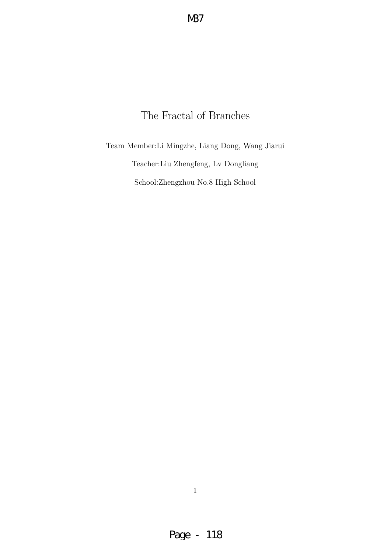# The Fractal of Branches

Team Member:Li Mingzhe, Liang Dong, Wang Jiarui Teacher:Liu Zhengfeng, Lv Dongliang School:Zhengzhou No.8 High School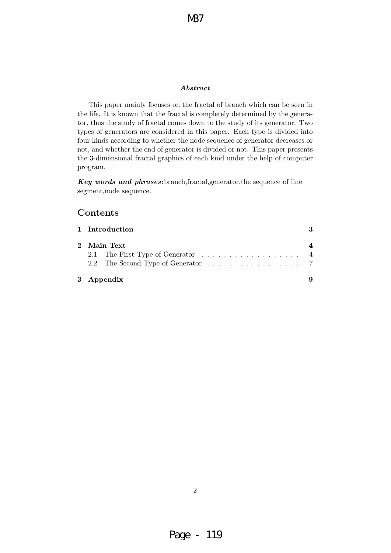#### Abstract

This paper mainly focuses on the fractal of branch which can be seen in the life. It is known that the fractal is completely determined by the generator, thus the study of fractal comes down to the study of its generator. Two types of generators are considered in this paper. Each type is divided into four kinds according to whether the node sequence of generator decreases or not, and whether the end of generator is divided or not. This paper presents the 3-dimensional fractal graphics of each kind under the help of computer program.

Key words and phrases:branch,fractal,generator,the sequence of line segment,node sequence.

### Contents

| 1 Introduction |  |
|----------------|--|
| 2 Main Text    |  |
|                |  |
| 3 Appendix     |  |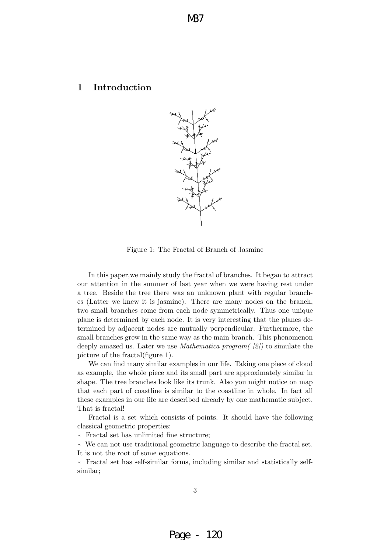### 1 Introduction



Figure 1: The Fractal of Branch of Jasmine

In this paper,we mainly study the fractal of branches. It began to attract our attention in the summer of last year when we were having rest under a tree. Beside the tree there was an unknown plant with regular branches (Latter we knew it is jasmine). There are many nodes on the branch, two small branches come from each node symmetrically. Thus one unique plane is determined by each node. It is very interesting that the planes determined by adjacent nodes are mutually perpendicular. Furthermore, the small branches grew in the same way as the main branch. This phenomenon deeply amazed us. Later we use *Mathematica program* ( $\langle 2 \rangle$ ) to simulate the picture of the fractal(figure 1).

We can find many similar examples in our life. Taking one piece of cloud as example, the whole piece and its small part are approximately similar in shape. The tree branches look like its trunk. Also you might notice on map that each part of coastline is similar to the coastline in whole. In fact all these examples in our life are described already by one mathematic subject. That is fractal!

Fractal is a set which consists of points. It should have the following classical geometric properties:

∗ Fractal set has unlimited fine structure;

∗ We can not use traditional geometric language to describe the fractal set. It is not the root of some equations.

∗ Fractal set has self-similar forms, including similar and statistically selfsimilar;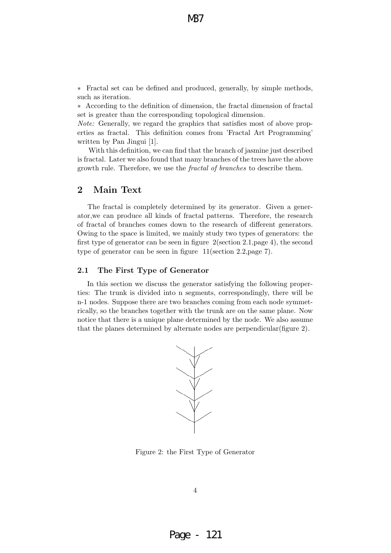∗ Fractal set can be defined and produced, generally, by simple methods, such as iteration.

∗ According to the definition of dimension, the fractal dimension of fractal set is greater than the corresponding topological dimension.

Note: Generally, we regard the graphics that satisfies most of above properties as fractal. This definition comes from 'Fractal Art Programming' written by Pan Jingui [1].

With this definition, we can find that the branch of jasmine just described is fractal. Later we also found that many branches of the trees have the above growth rule. Therefore, we use the fractal of branches to describe them.

#### 2 Main Text

The fractal is completely determined by its generator. Given a generator,we can produce all kinds of fractal patterns. Therefore, the research of fractal of branches comes down to the research of different generators. Owing to the space is limited, we mainly study two types of generators: the first type of generator can be seen in figure 2(section 2.1,page 4), the second type of generator can be seen in figure 11(section 2.2,page 7).

#### 2.1 The First Type of Generator

In this section we discuss the generator satisfying the following properties: The trunk is divided into n segments, correspondingly, there will be n-1 nodes. Suppose there are two branches coming from each node symmetrically, so the branches together with the trunk are on the same plane. Now notice that there is a unique plane determined by the node. We also assume that the planes determined by alternate nodes are perpendicular(figure 2).



Figure 2: the First Type of Generator

4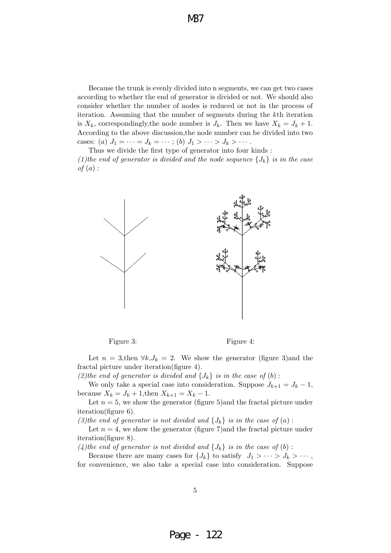Because the trunk is evenly divided into n segments, we can get two cases according to whether the end of generator is divided or not. We should also consider whether the number of nodes is reduced or not in the process of iteration. Assuming that the number of segments during the kth iteration is  $X_k$ , correspondingly, the node number is  $J_k$ . Then we have  $X_k = J_k + 1$ . According to the above discussion,the node number can be divided into two cases: (a)  $J_1 = \cdots = J_k = \cdots$ ; (b)  $J_1 > \cdots > J_k > \cdots$ .

Thus we divide the first type of generator into four kinds : (1)the end of generator is divided and the node sequence  $\{J_k\}$  is in the case  $of (a):$ 



Figure 3: Figure 4:

Let  $n = 3$ , then  $\forall k, J_k = 2$ . We show the generator (figure 3) and the fractal picture under iteration(figure 4).

(2)the end of generator is divided and  $\{J_k\}$  is in the case of (b):

We only take a special case into consideration. Suppose  $J_{k+1} = J_k - 1$ , because  $X_k = J_k + 1$ , then  $X_{k+1} = X_k - 1$ .

Let  $n = 5$ , we show the generator (figure 5)and the fractal picture under iteration(figure 6).

(3)the end of generator is not divided and  $\{J_k\}$  is in the case of (a):

Let  $n = 4$ , we show the generator (figure 7) and the fractal picture under iteration(figure 8).

(4)the end of generator is not divided and  $\{J_k\}$  is in the case of (b):

Because there are many cases for  $\{J_k\}$  to satisfy  $J_1 > \cdots > J_k > \cdots$ , for convenience, we also take a special case into consideration. Suppose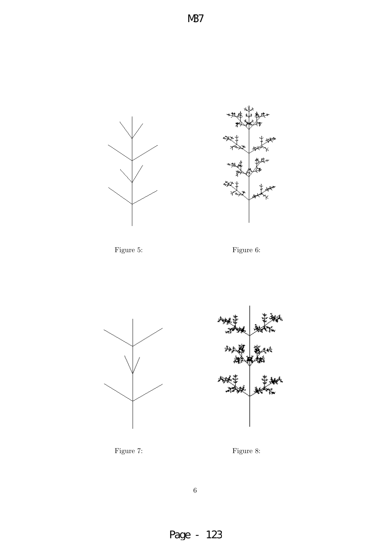











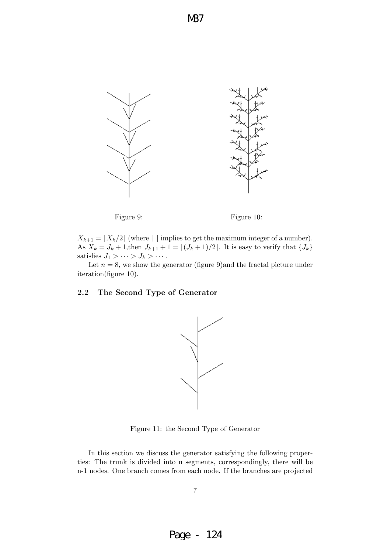

Figure 9: Figure 10:

 $X_{k+1} = \lfloor X_k/2 \rfloor$  (where  $\lfloor \rfloor$  implies to get the maximum integer of a number). As  $X_k = J_k + 1$ , then  $J_{k+1} + 1 = \lfloor (J_k + 1)/2 \rfloor$ . It is easy to verify that  $\{J_k\}$ satisfies  $J_1 > \cdots > J_k > \cdots$ .

Let  $n = 8$ , we show the generator (figure 9) and the fractal picture under iteration(figure 10).

#### 2.2 The Second Type of Generator



Figure 11: the Second Type of Generator

In this section we discuss the generator satisfying the following properties: The trunk is divided into n segments, correspondingly, there will be n-1 nodes. One branch comes from each node. If the branches are projected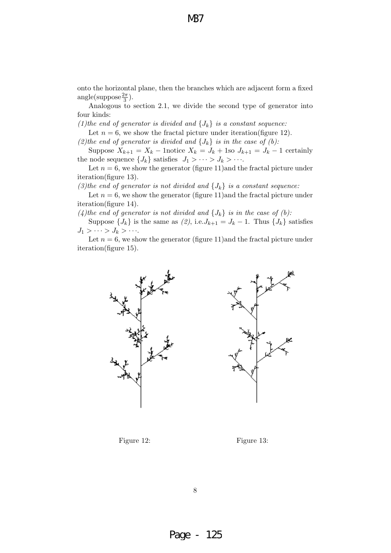onto the horizontal plane, then the branches which are adjacent form a fixed  $angle(suppose \frac{2\pi}{3}).$ 

Analogous to section 2.1, we divide the second type of generator into four kinds:

(1)the end of generator is divided and  $\{J_k\}$  is a constant sequence:

Let  $n = 6$ , we show the fractal picture under iteration(figure 12).

(2)the end of generator is divided and  $\{J_k\}$  is in the case of (b):

Suppose  $X_{k+1} = X_k$  – 1notice  $X_k = J_k + 1$ so  $J_{k+1} = J_k - 1$  certainly the node sequence  $\{J_k\}$  satisfies  $J_1 > \cdots > J_k > \cdots$ .

Let  $n = 6$ , we show the generator (figure 11) and the fractal picture under iteration(figure 13).

(3)the end of generator is not divided and  $\{J_k\}$  is a constant sequence:

Let  $n = 6$ , we show the generator (figure 11) and the fractal picture under iteration(figure 14).

(4)the end of generator is not divided and  $\{J_k\}$  is in the case of (b):

Suppose  $\{J_k\}$  is the same as  $(2)$ , i.e. $J_{k+1} = J_k - 1$ . Thus  $\{J_k\}$  satisfies  $J_1 > \cdots > J_k > \cdots$ 

Let  $n = 6$ , we show the generator (figure 11) and the fractal picture under iteration(figure 15).





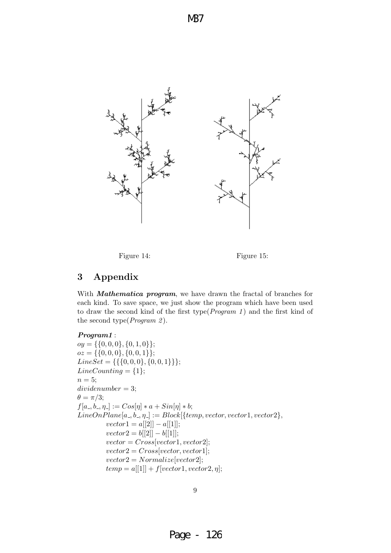Figure 14: Figure 15:

## 3 Appendix

With **Mathematica program**, we have drawn the fractal of branches for each kind. To save space, we just show the program which have been used to draw the second kind of the first type( $Program 1$ ) and the first kind of the second type( $Program 2$ ).

#### Program1 :

 $oy = \{\{0, 0, 0\}, \{0, 1, 0\}\};$  $oz = \{\{0, 0, 0\}, \{0, 0, 1\}\};$  $LineSet = \{\{\{0, 0, 0\}, \{0, 0, 1\}\}\};$  $LineCounting = \{1\};$  $n = 5$ ;  $dividenumber = 3;$  $\theta = \pi/3;$  $f[a_-, b_-, \eta_-] := Cos[\eta] * a + Sin[\eta] * b;$  $LineOnPlane[a_-,b_-, \eta_-] := Block[\{temp, vector, vector1, vector2\},\$  $vector1 = a[[2]] - a[[1]];$  $vector2 = b[[2]] - b[[1]];$  $vector = Cross[vector1,vector2];$  $vector2 = Cross[vector,vector1];$  $vector2 = Normalize[vector2];$  $temp = a[[1]] + f[vector1, vector2, \eta];$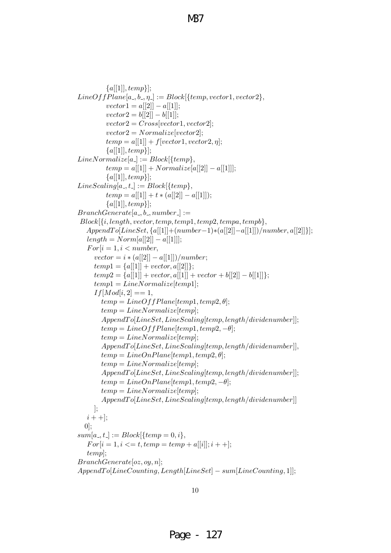```
{a[[1]], temp}\};LineOffPlane[a_-,b_-, \eta_-] := Block[\{temp, vector1, vector2\},\vector1 = a[[2]] - a[[1]];vector2 = b[[2]] - b[[1]];vector2 = Cross[vector1,vector2];vector2 = Normalize[vector2];temp = a[[1]] + f[vector1, vector2, \eta];{a[[1]], temp}\};Line Normalize[a_{\lceil} ] := Block[\{temp\},]temp = a[1] + Normalize[a][2] - a[1]];{a[[1]], temp}\};LineScaling[a_-,t_-] := Block[\{temp\},\temp = a[[1]] + t * (a[[2]] - a[[1]]);{a[[1]], temp\};BranchGenerate[a_-, b_-, number_-] :=Block[\{i, length, vector, temp, temp1, temp2, tempa, tempb\},]AppendTo[LineSet, {a[[1]]+(number-1)*(a[[2]]-a[[1]])/number, a[[2]]};length = Norm[a[[2]] - a[[1]]];For[i = 1, i < number,vector = i * (a[[2]] - a[[1]])/number;temp1 = \{a[1] \} + vector, a[2] \};temp2 = \{a[[1]] + vector, a[[1]] + vector + b[[2]] - b[[1]]\};temp1 = LineNormalize[temp1];If [Mod[i, 2] == 1,temp = LineOffPlane[temp1, temp2, \theta];temp = LineNormalize[temp];\label{lem:opt} Appendix 2: A pendantro[LineSet, LineScaling[temp, length/dividenumber]];temp = LineOffPlane[temp1, temp2, -\theta];temp = LineNormalize[temp];AppendTo[LineSet, LineScaling[temp, length/dividenumber]],temp = LineOnPlane[temp1, temp2, \theta];temp = LineNormalize[temp];AppendTo[LineSet, LineScaling[temp, length/dividenumber]];temp = LineOnPlane[temp1, temp2, -\theta];temp = LineNormalize[temp];AppendTo[LineSet, LineScaling[temp, length/dividenumber]]];
   i + +];
  [0];
sum[a_{-}, t_{-}] := Block[\{temp = 0, i\},\For[i = 1, i \leq t, temp = temp + a[[i]]; i++);
   temp];
BranchGenerate[oz, oy, n];
AppendTo[LineCounting, Length[LineSet] - sum[LineCounting, 1];
```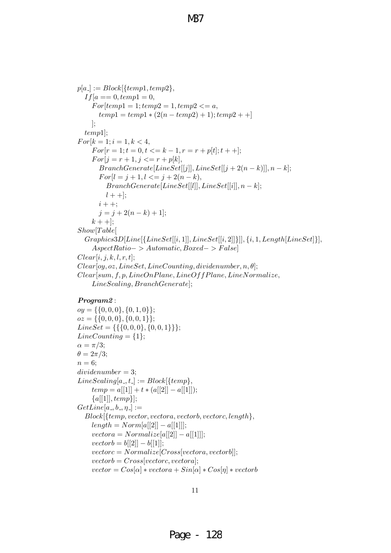```
p[a_{-}] := Block[\{temp1, temp2\},\If [a == 0, temp1 = 0,For [temp1 = 1; temp2 = 1, temp2 < a,temp1 = temp1 * (2(n - temp2) + 1); temp2 + 1];
  temp1];
For [k = 1; i = 1, k < 4,For[r = 1; t = 0, t \leq k - 1, r = r + p[t]; t + +];For[j = r + 1, j <= r + p[k],BranchGenerate[LineSet[[j]], LineSet[[j + 2(n - k)]], n - k];For[l = j + 1, l <= j + 2(n - k),BranchGenerate[LineSet[[l]], LineSet[[i]], n-k];l + +];
      i + +;
      j = j + 2(n - k) + 1;
    k + +];
Show[Table]Graphics3D[Line[\{LineSet[[i, 1]], LineSet[[i, 2]]\}]], \{i, 1, Length[LineSet]\}],AspectRatio->Automatic, Boxed->False]Clear[i, j, k, l, r, t];Clear[oy, oz, LineSet, LineCounting, dividendumber, n, \theta];Clear[sum, f, p, LineOnPlane, LineOffPlane, LineNormalize,
    LineScaling, BranchGenerate];
```
#### Program<sub>2</sub>:

 $oy = \{\{0, 0, 0\}, \{0, 1, 0\}\};$  $oz = \{\{0, 0, 0\}, \{0, 0, 1\}\};$  $LineSet = \{\{\{0, 0, 0\}, \{0, 0, 1\}\}\};$  $LineCounting = \{1\};$  $\alpha = \pi/3;$  $\theta = 2\pi/3;$  $n = 6$ ;  $dividenumber = 3$ ;  $LineScaling[a_-,t_-] := Block[\{temp\},]$  $temp = a[[1]] + t * (a[[2]] - a[[1]]);$  ${a[[1]], temp\};$  $GetLine[a_-, b_-, \eta_-] :=$  $Block[$ {temp, vector, vectora, vectorb, vectorc, length $\},$  $length = Normala[[2]] - a[[1]]$ ;  $vector a = Normalize[a[[2]] - a[[1]]];$  $vector b = b[[2]] - b[[1]];$  $vector c = Normalize[Cross[vectora, vectorb]];$  $vector b = Cross[vector; vector a];$  $vector = Cos[\alpha] * vectora + Sin[\alpha] * Cos[\eta] * vectorb$